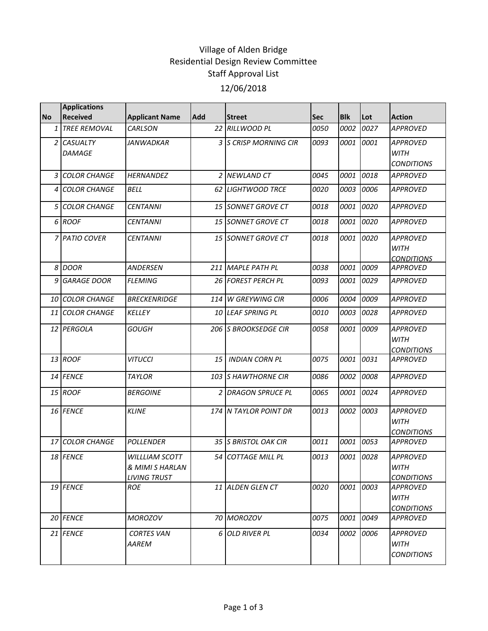## Village of Alden Bridge Residential Design Review Committee Staff Approval List 12/06/2018

|                | <b>Applications</b>       |                                                                 |     |                       |            |            |      |                                                     |
|----------------|---------------------------|-----------------------------------------------------------------|-----|-----------------------|------------|------------|------|-----------------------------------------------------|
| <b>No</b>      | <b>Received</b>           | <b>Applicant Name</b>                                           | Add | <b>Street</b>         | <b>Sec</b> | <b>Blk</b> | Lot  | <b>Action</b>                                       |
| $\mathbf{1}$   | <b>TREE REMOVAL</b>       | CARLSON                                                         | 22  | <b>RILLWOOD PL</b>    | 0050       | 0002       | 0027 | <b>APPROVED</b>                                     |
| 2 <sub>1</sub> | <b>CASUALTY</b><br>DAMAGE | JANWADKAR                                                       |     | 3 S CRISP MORNING CIR | 0093       | 0001       | 0001 | <b>APPROVED</b><br><b>WITH</b><br><b>CONDITIONS</b> |
| 3              | <b>COLOR CHANGE</b>       | <b>HERNANDEZ</b>                                                |     | 2 NEWLAND CT          | 0045       | 0001       | 0018 | <b>APPROVED</b>                                     |
| 4              | <b>COLOR CHANGE</b>       | <b>BELL</b>                                                     |     | 62 LIGHTWOOD TRCE     | 0020       | 0003       | 0006 | <b>APPROVED</b>                                     |
|                | 5 COLOR CHANGE            | <b>CENTANNI</b>                                                 |     | 15 SONNET GROVE CT    | 0018       | 0001       | 0020 | <b>APPROVED</b>                                     |
|                | 6 ROOF                    | <b>CENTANNI</b>                                                 |     | 15 SONNET GROVE CT    | 0018       | 0001       | 0020 | <b>APPROVED</b>                                     |
|                | 7 PATIO COVER             | <b>CENTANNI</b>                                                 |     | 15 SONNET GROVE CT    | 0018       | 0001       | 0020 | <b>APPROVED</b><br><b>WITH</b><br><b>CONDITIONS</b> |
|                | 8 DOOR                    | ANDERSEN                                                        |     | 211 MAPLE PATH PL     | 0038       | 0001       | 0009 | <b>APPROVED</b>                                     |
| 9              | <b>GARAGE DOOR</b>        | <b>FLEMING</b>                                                  |     | 26 FOREST PERCH PL    | 0093       | 0001       | 0029 | <b>APPROVED</b>                                     |
|                | 10 COLOR CHANGE           | <b>BRECKENRIDGE</b>                                             |     | 114 W GREYWING CIR    | 0006       | 0004       | 0009 | <b>APPROVED</b>                                     |
|                | 11 COLOR CHANGE           | KELLEY                                                          |     | 10 LEAF SPRING PL     | 0010       | 0003       | 0028 | <b>APPROVED</b>                                     |
|                | 12 PERGOLA                | <b>GOUGH</b>                                                    |     | 206 S BROOKSEDGE CIR  | 0058       | 0001       | 0009 | <b>APPROVED</b><br><b>WITH</b><br><b>CONDITIONS</b> |
|                | 13 ROOF                   | <b>VITUCCI</b>                                                  | 15  | <b>INDIAN CORN PL</b> | 0075       | 0001       | 0031 | <b>APPROVED</b>                                     |
|                | 14 FENCE                  | <b>TAYLOR</b>                                                   | 103 | <b>SHAWTHORNE CIR</b> | 0086       | 0002       | 0008 | <b>APPROVED</b>                                     |
|                | 15 ROOF                   | <b>BERGOINE</b>                                                 |     | 2 DRAGON SPRUCE PL    | 0065       | 0001       | 0024 | <b>APPROVED</b>                                     |
|                | 16 FENCE                  | <b>KLINE</b>                                                    |     | 174 N TAYLOR POINT DR | 0013       | 0002       | 0003 | <b>APPROVED</b><br><b>WITH</b><br><b>CONDITIONS</b> |
|                | 17 COLOR CHANGE           | <b>POLLENDER</b>                                                |     | 35 S BRISTOL OAK CIR  | 0011       | 0001       | 0053 | <b>APPROVED</b>                                     |
|                | 18 FENCE                  | <b>WILLLIAM SCOTT</b><br>& MIMI S HARLAN<br><b>LIVING TRUST</b> |     | 54 COTTAGE MILL PL    | 0013       | 0001       | 0028 | <b>APPROVED</b><br><b>WITH</b><br><b>CONDITIONS</b> |
|                | 19 FENCE                  | <b>ROE</b>                                                      |     | 11 ALDEN GLEN CT      | 0020       | 0001       | 0003 | APPROVED<br><b>WITH</b><br><b>CONDITIONS</b>        |
|                | 20 FENCE                  | <b>MOROZOV</b>                                                  |     | 70 MOROZOV            | 0075       | 0001       | 0049 | APPROVED                                            |
|                | 21 FENCE                  | <b>CORTES VAN</b><br>AAREM                                      | 6   | <b>OLD RIVER PL</b>   | 0034       | 0002       | 0006 | APPROVED<br>WITH<br><b>CONDITIONS</b>               |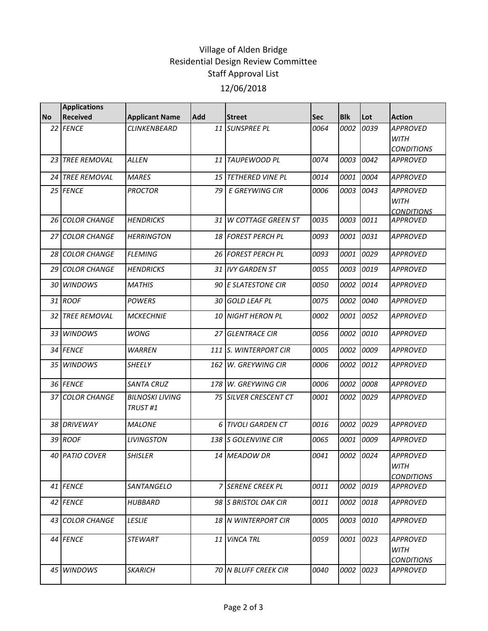## Village of Alden Bridge Residential Design Review Committee Staff Approval List 12/06/2018

|           | <b>Applications</b> |                                   |            |                              |             |             |      |                                                     |
|-----------|---------------------|-----------------------------------|------------|------------------------------|-------------|-------------|------|-----------------------------------------------------|
| <b>No</b> | <b>Received</b>     | <b>Applicant Name</b>             | <b>Add</b> | <b>Street</b>                | <b>Sec</b>  | <b>Blk</b>  | Lot  | <b>Action</b>                                       |
|           | 22 FENCE            | CLINKENBEARD                      |            | 11 SUNSPREE PL               | 0064        | 0002        | 0039 | <b>APPROVED</b><br><b>WITH</b><br><b>CONDITIONS</b> |
|           | 23 TREE REMOVAL     | <b>ALLEN</b>                      |            | 11 TAUPEWOOD PL              | 0074        | 0003        | 0042 | <b>APPROVED</b>                                     |
|           | 24 TREE REMOVAL     | <b>MARES</b>                      | 15         | <b>TETHERED VINE PL</b>      | 0014        | 0001        | 0004 | <b>APPROVED</b>                                     |
|           | 25 FENCE            | <b>PROCTOR</b>                    | 79         | <b>E GREYWING CIR</b>        | 0006        | <i>0003</i> | 0043 | <b>APPROVED</b><br><b>WITH</b><br><b>CONDITIONS</b> |
|           | 26 COLOR CHANGE     | <b>HENDRICKS</b>                  | 31         | W COTTAGE GREEN ST           | 0035        | 0003        | 0011 | <b>APPROVED</b>                                     |
|           | 27 COLOR CHANGE     | <b>HERRINGTON</b>                 |            | 18 FOREST PERCH PL           | 0093        | 0001        | 0031 | <b>APPROVED</b>                                     |
|           | 28 COLOR CHANGE     | <b>FLEMING</b>                    |            | 26 FOREST PERCH PL           | 0093        | 0001        | 0029 | <b>APPROVED</b>                                     |
| 29        | <b>COLOR CHANGE</b> | <b>HENDRICKS</b>                  |            | 31 IVY GARDEN ST             | 0055        | 0003        | 0019 | <b>APPROVED</b>                                     |
|           | 30 WINDOWS          | <b>MATHIS</b>                     |            | 90 E SLATESTONE CIR          | 0050        | 0002        | 0014 | <b>APPROVED</b>                                     |
|           | 31 ROOF             | <b>POWERS</b>                     | 30         | <b>GOLD LEAF PL</b>          | 0075        | 0002        | 0040 | <b>APPROVED</b>                                     |
|           | 32 TREE REMOVAL     | <b>MCKECHNIE</b>                  | 10         | <b>NIGHT HERON PL</b>        | 0002        | 0001        | 0052 | <b>APPROVED</b>                                     |
|           | 33 WINDOWS          | <b>WONG</b>                       | 27         | <b>GLENTRACE CIR</b>         | 0056        | 0002        | 0010 | <b>APPROVED</b>                                     |
|           | 34 FENCE            | <b>WARREN</b>                     | 111        | <b>S. WINTERPORT CIR</b>     | 0005        | 0002        | 0009 | <b>APPROVED</b>                                     |
|           | 35 WINDOWS          | <b>SHEELY</b>                     | 162        | W. GREYWING CIR              | <i>0006</i> | 0002        | 0012 | <b>APPROVED</b>                                     |
|           | 36 FENCE            | <b>SANTA CRUZ</b>                 | 178        | W. GREYWING CIR              | 0006        | 0002        | 0008 | <b>APPROVED</b>                                     |
|           | 37 COLOR CHANGE     | <b>BILNOSKI LIVING</b><br>TRUST#1 |            | <b>75 SILVER CRESCENT CT</b> | 0001        | 0002        | 0029 | <b>APPROVED</b>                                     |
|           | 38 DRIVEWAY         | <b>MALONE</b>                     | 6          | <b>TIVOLI GARDEN CT</b>      | 0016        | 0002        | 0029 | <b>APPROVED</b>                                     |
|           | 39 ROOF             | <b>LIVINGSTON</b>                 | 138        | <b>S GOLENVINE CIR</b>       | 0065        | 0001        | 0009 | <b>APPROVED</b>                                     |
|           | 40 PATIO COVER      | <b>SHISLER</b>                    |            | 14 MEADOW DR                 | 0041        | 0002        | 0024 | <b>APPROVED</b><br><b>WITH</b><br><b>CONDITIONS</b> |
|           | 41 FENCE            | SANTANGELO                        |            | 7 SERENE CREEK PL            | 0011        | 0002        | 0019 | <b>APPROVED</b>                                     |
|           | 42 FENCE            | HUBBARD                           |            | 98 IS BRISTOL OAK CIR        | 0011        | 0002        | 0018 | APPROVED                                            |
|           | 43 COLOR CHANGE     | <b>LESLIE</b>                     |            | 18 N WINTERPORT CIR          | 0005        | 0003        | 0010 | <b>APPROVED</b>                                     |
|           | 44 FENCE            | <b>STEWART</b>                    |            | 11 VINCA TRL                 | 0059        | 0001        | 0023 | <b>APPROVED</b><br><b>WITH</b><br><b>CONDITIONS</b> |
|           | 45 WINDOWS          | <b>SKARICH</b>                    |            | <b>70 IN BLUFF CREEK CIR</b> | 0040        | 0002        | 0023 | <b>APPROVED</b>                                     |